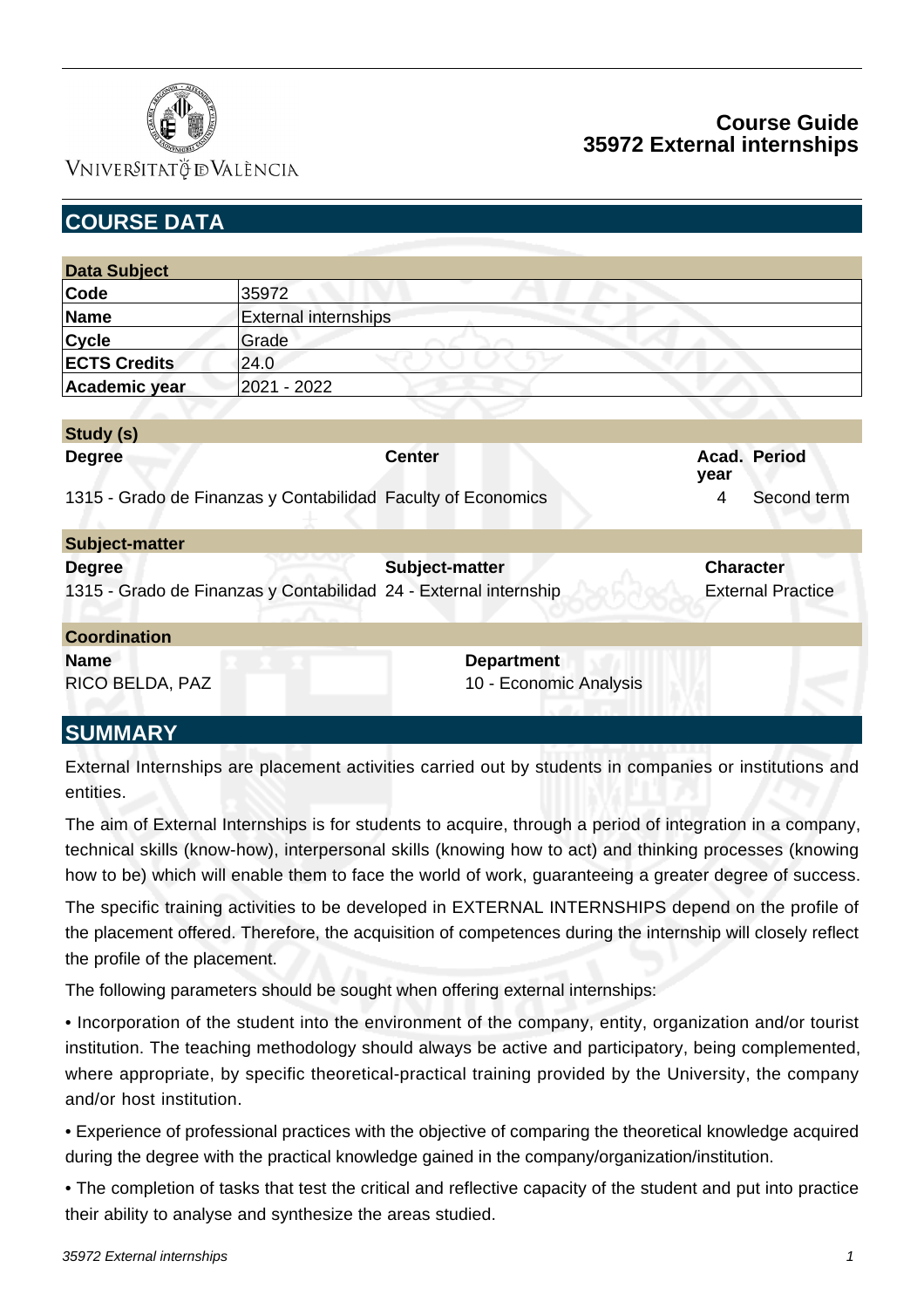

### VNIVERSITATÖ IDVALÈNCIA

## **Course Guide 35972 External internships**

| <b>COURSE DATA</b>                                               |                             |                   |                        |                          |  |
|------------------------------------------------------------------|-----------------------------|-------------------|------------------------|--------------------------|--|
|                                                                  |                             |                   |                        |                          |  |
| <b>Data Subject</b>                                              |                             |                   |                        |                          |  |
| Code                                                             | 35972                       |                   |                        |                          |  |
| <b>Name</b>                                                      | <b>External internships</b> |                   |                        |                          |  |
| <b>Cycle</b>                                                     | Grade                       |                   |                        |                          |  |
| <b>ECTS Credits</b>                                              | 24.0                        |                   |                        |                          |  |
| Academic year                                                    | 2021 - 2022                 |                   |                        |                          |  |
|                                                                  |                             |                   |                        |                          |  |
| Study (s)                                                        |                             |                   |                        |                          |  |
| <b>Degree</b>                                                    |                             | <b>Center</b>     |                        | Acad. Period<br>year     |  |
| 1315 - Grado de Finanzas y Contabilidad Faculty of Economics     |                             |                   |                        | Second term<br>4         |  |
| <b>Subject-matter</b>                                            |                             |                   |                        |                          |  |
| <b>Degree</b>                                                    |                             | Subject-matter    |                        | <b>Character</b>         |  |
| 1315 - Grado de Finanzas y Contabilidad 24 - External internship |                             |                   |                        | <b>External Practice</b> |  |
| <b>Coordination</b>                                              |                             |                   |                        |                          |  |
| <b>Name</b>                                                      |                             | <b>Department</b> |                        |                          |  |
| RICO BELDA, PAZ                                                  |                             |                   | 10 - Economic Analysis |                          |  |
| <b>SUMMARY</b>                                                   |                             |                   |                        |                          |  |

External Internships are placement activities carried out by students in companies or institutions and entities.

The aim of External Internships is for students to acquire, through a period of integration in a company, technical skills (know-how), interpersonal skills (knowing how to act) and thinking processes (knowing how to be) which will enable them to face the world of work, guaranteeing a greater degree of success.

The specific training activities to be developed in EXTERNAL INTERNSHIPS depend on the profile of the placement offered. Therefore, the acquisition of competences during the internship will closely reflect the profile of the placement.

The following parameters should be sought when offering external internships:

• Incorporation of the student into the environment of the company, entity, organization and/or tourist institution. The teaching methodology should always be active and participatory, being complemented, where appropriate, by specific theoretical-practical training provided by the University, the company and/or host institution.

• Experience of professional practices with the objective of comparing the theoretical knowledge acquired during the degree with the practical knowledge gained in the company/organization/institution.

• The completion of tasks that test the critical and reflective capacity of the student and put into practice their ability to analyse and synthesize the areas studied.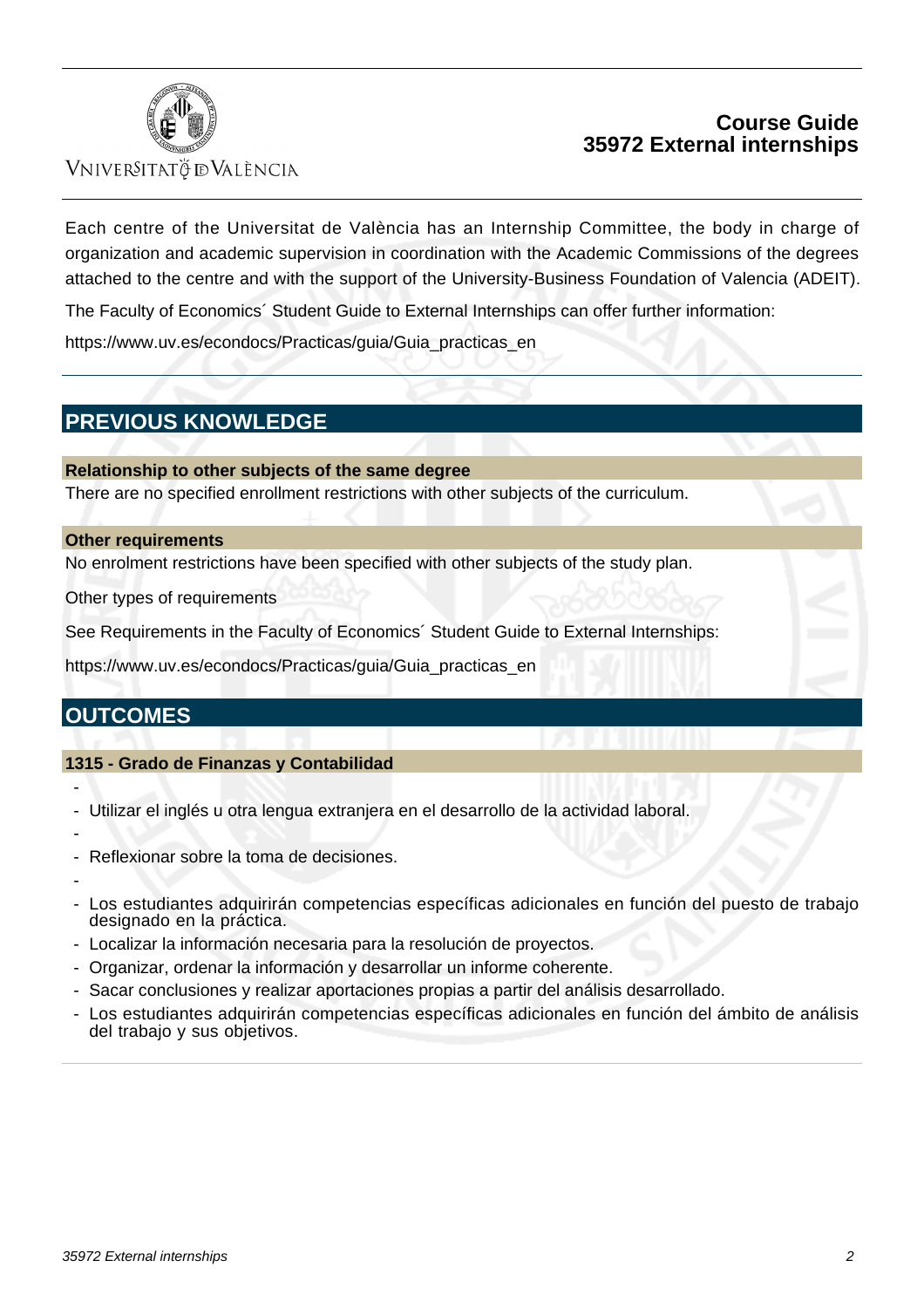

#### VNIVERSITATÖ ID VALÈNCIA

### **Course Guide 35972 External internships**

Each centre of the Universitat de València has an Internship Committee, the body in charge of organization and academic supervision in coordination with the Academic Commissions of the degrees attached to the centre and with the support of the University-Business Foundation of Valencia (ADEIT).

The Faculty of Economics´ Student Guide to External Internships can offer further information:

[https://www.uv.es/econdocs/Practicas/guia/Guia\\_practicas\\_en](https:/www.uv.es/econdocs/Practicas/guia/Guia_practicas_en)

# **PREVIOUS KNOWLEDGE**

#### **Relationship to other subjects of the same degree**

There are no specified enrollment restrictions with other subjects of the curriculum.

#### **Other requirements**

No enrolment restrictions have been specified with other subjects of the study plan.

Other types of requirements

See Requirements in the Faculty of Economics´ Student Guide to External Internships:

https://www.uv.es/econdocs/Practicas/guia/Guia\_practicas\_en

## **OUTCOMES**

#### **1315 - Grado de Finanzas y Contabilidad**

- Utilizar el inglés u otra lengua extranjera en el desarrollo de la actividad laboral.
- -

-

- Reflexionar sobre la toma de decisiones.
- -
- Los estudiantes adquirirán competencias específicas adicionales en función del puesto de trabajo designado en la práctica.
- Localizar la información necesaria para la resolución de proyectos.
- Organizar, ordenar la información y desarrollar un informe coherente.
- Sacar conclusiones y realizar aportaciones propias a partir del análisis desarrollado.
- Los estudiantes adquirirán competencias específicas adicionales en función del ámbito de análisis del trabajo y sus objetivos.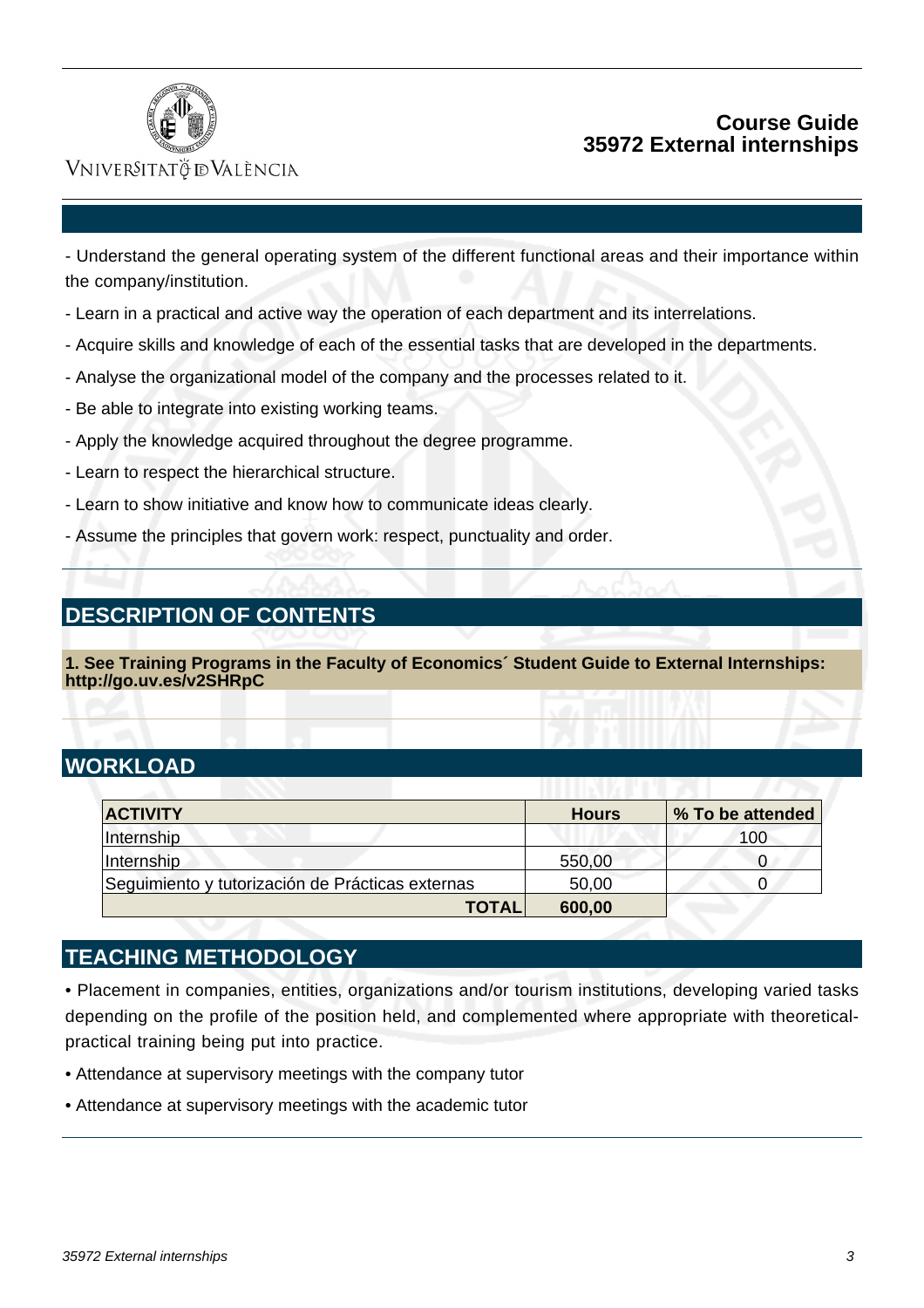

### **Course Guide 35972 External internships**

### VNIVERSITATÖ IDVALÈNCIA

- Understand the general operating system of the different functional areas and their importance within the company/institution.

- Learn in a practical and active way the operation of each department and its interrelations.
- Acquire skills and knowledge of each of the essential tasks that are developed in the departments.
- Analyse the organizational model of the company and the processes related to it.
- Be able to integrate into existing working teams.
- Apply the knowledge acquired throughout the degree programme.
- Learn to respect the hierarchical structure.
- Learn to show initiative and know how to communicate ideas clearly.
- Assume the principles that govern work: respect, punctuality and order.

## **DESCRIPTION OF CONTENTS**

**1. See Training Programs in the Faculty of Economics´ Student Guide to External Internships: http://go.uv.es/v2SHRpC**

# **WORKLOAD**

| <b>ACTIVITY</b>                                  | <b>Hours</b> | % To be attended |
|--------------------------------------------------|--------------|------------------|
| Internship                                       |              | 100              |
| Internship                                       | 550,00       |                  |
| Seguimiento y tutorización de Prácticas externas | 50,00        |                  |
| <b>TOTAL</b>                                     | 600,00       |                  |

## **TEACHING METHODOLOGY**

• Placement in companies, entities, organizations and/or tourism institutions, developing varied tasks depending on the profile of the position held, and complemented where appropriate with theoreticalpractical training being put into practice.

- Attendance at supervisory meetings with the company tutor
- Attendance at supervisory meetings with the academic tutor